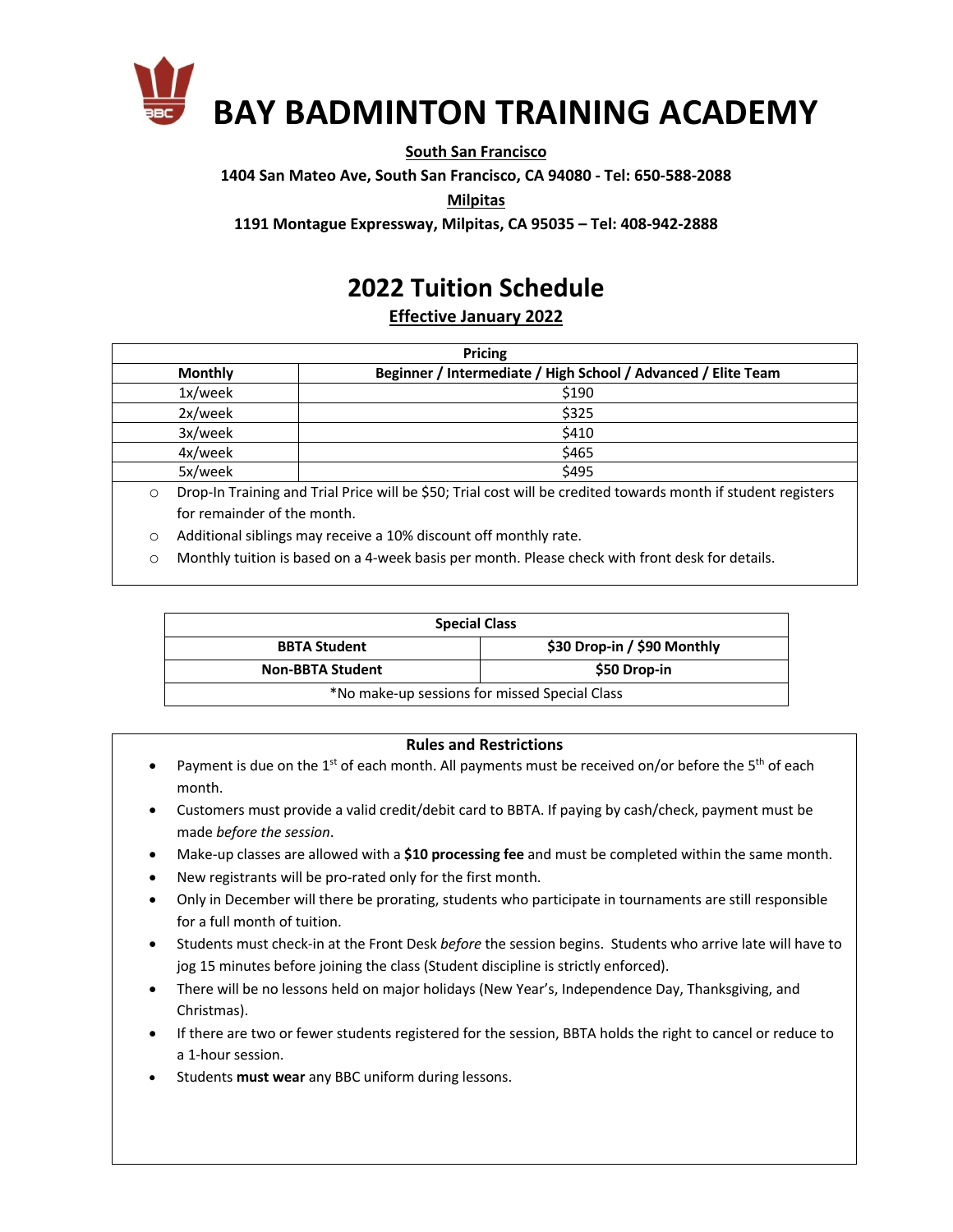

#### **South San Francisco**

**1404 San Mateo Ave, South San Francisco, CA 94080 - Tel: 650-588-2088**

**Milpitas**

**1191 Montague Expressway, Milpitas, CA 95035 – Tel: 408-942-2888**

# **2022 Tuition Schedule**

**Effective January 2022**

| <b>Pricing</b>                                                |  |  |  |  |
|---------------------------------------------------------------|--|--|--|--|
| Beginner / Intermediate / High School / Advanced / Elite Team |  |  |  |  |
| \$190                                                         |  |  |  |  |
| \$325                                                         |  |  |  |  |
| \$410                                                         |  |  |  |  |
| \$465                                                         |  |  |  |  |
| \$495                                                         |  |  |  |  |
|                                                               |  |  |  |  |

o Drop-In Training and Trial Price will be \$50; Trial cost will be credited towards month if student registers for remainder of the month.

o Additional siblings may receive a 10% discount off monthly rate.

o Monthly tuition is based on a 4-week basis per month. Please check with front desk for details.

| <b>Special Class</b>                          |                             |  |  |  |  |
|-----------------------------------------------|-----------------------------|--|--|--|--|
| <b>BBTA Student</b>                           | \$30 Drop-in / \$90 Monthly |  |  |  |  |
| <b>Non-BBTA Student</b>                       | \$50 Drop-in                |  |  |  |  |
| *No make-up sessions for missed Special Class |                             |  |  |  |  |

#### **Rules and Restrictions**

- Payment is due on the  $1<sup>st</sup>$  of each month. All payments must be received on/or before the  $5<sup>th</sup>$  of each month.
- Customers must provide a valid credit/debit card to BBTA. If paying by cash/check, payment must be made *before the session*.
- Make-up classes are allowed with a **\$10 processing fee** and must be completed within the same month.
- New registrants will be pro-rated only for the first month.
- Only in December will there be prorating, students who participate in tournaments are still responsible for a full month of tuition.
- Students must check-in at the Front Desk *before* the session begins. Students who arrive late will have to jog 15 minutes before joining the class (Student discipline is strictly enforced).
- There will be no lessons held on major holidays (New Year's, Independence Day, Thanksgiving, and Christmas).
- If there are two or fewer students registered for the session, BBTA holds the right to cancel or reduce to a 1-hour session.
- Students **must wear** any BBC uniform during lessons.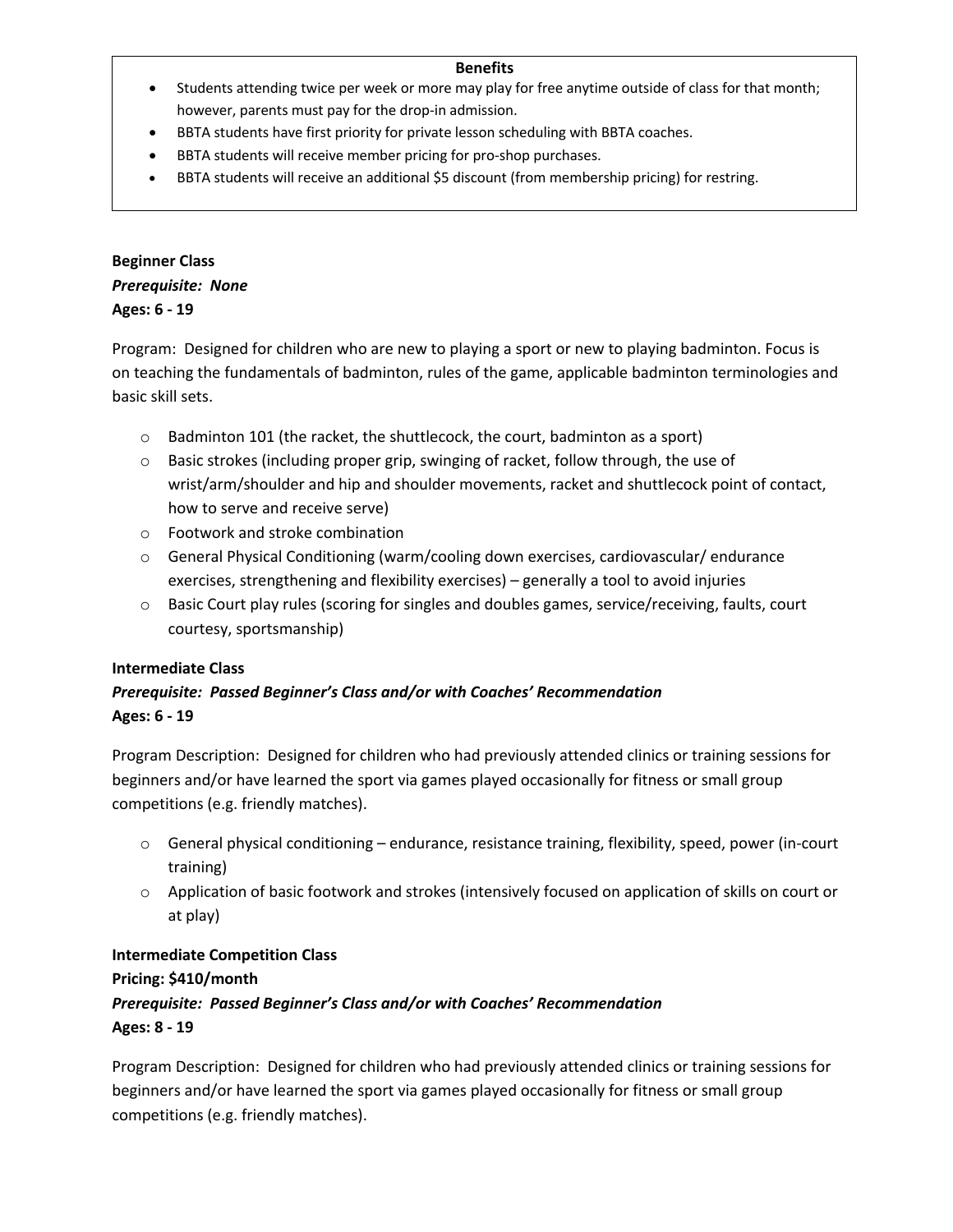#### **Benefits**

- Students attending twice per week or more may play for free anytime outside of class for that month; however, parents must pay for the drop-in admission.
- BBTA students have first priority for private lesson scheduling with BBTA coaches.
- BBTA students will receive member pricing for pro-shop purchases.
- BBTA students will receive an additional \$5 discount (from membership pricing) for restring.

## **Beginner Class** *Prerequisite: None* **Ages: 6 - 19**

Program: Designed for children who are new to playing a sport or new to playing badminton. Focus is on teaching the fundamentals of badminton, rules of the game, applicable badminton terminologies and basic skill sets.

- o Badminton 101 (the racket, the shuttlecock, the court, badminton as a sport)
- o Basic strokes (including proper grip, swinging of racket, follow through, the use of wrist/arm/shoulder and hip and shoulder movements, racket and shuttlecock point of contact, how to serve and receive serve)
- o Footwork and stroke combination
- $\circ$  General Physical Conditioning (warm/cooling down exercises, cardiovascular/endurance exercises, strengthening and flexibility exercises) – generally a tool to avoid injuries
- o Basic Court play rules (scoring for singles and doubles games, service/receiving, faults, court courtesy, sportsmanship)

### **Intermediate Class**

# *Prerequisite: Passed Beginner's Class and/or with Coaches' Recommendation* **Ages: 6 - 19**

Program Description: Designed for children who had previously attended clinics or training sessions for beginners and/or have learned the sport via games played occasionally for fitness or small group competitions (e.g. friendly matches).

- o General physical conditioning endurance, resistance training, flexibility, speed, power (in-court training)
- $\circ$  Application of basic footwork and strokes (intensively focused on application of skills on court or at play)

### **Intermediate Competition Class**

### **Pricing: \$410/month**

## *Prerequisite: Passed Beginner's Class and/or with Coaches' Recommendation* **Ages: 8 - 19**

Program Description: Designed for children who had previously attended clinics or training sessions for beginners and/or have learned the sport via games played occasionally for fitness or small group competitions (e.g. friendly matches).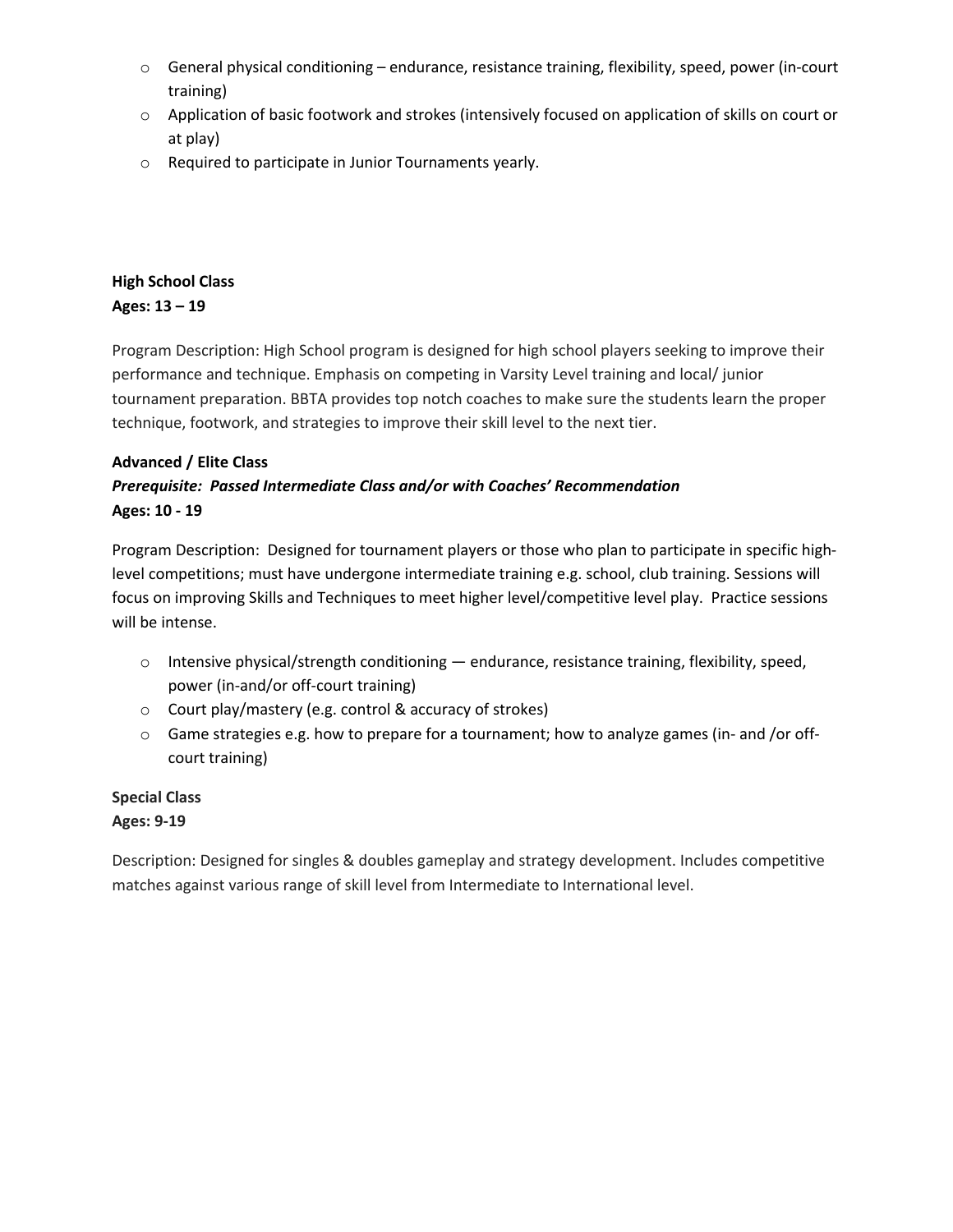- o General physical conditioning endurance, resistance training, flexibility, speed, power (in-court training)
- o Application of basic footwork and strokes (intensively focused on application of skills on court or at play)
- o Required to participate in Junior Tournaments yearly.

## **High School Class Ages: 13 – 19**

Program Description: High School program is designed for high school players seeking to improve their performance and technique. Emphasis on competing in Varsity Level training and local/ junior tournament preparation. BBTA provides top notch coaches to make sure the students learn the proper technique, footwork, and strategies to improve their skill level to the next tier.

## **Advanced / Elite Class**

# *Prerequisite: Passed Intermediate Class and/or with Coaches' Recommendation* **Ages: 10 - 19**

Program Description: Designed for tournament players or those who plan to participate in specific highlevel competitions; must have undergone intermediate training e.g. school, club training. Sessions will focus on improving Skills and Techniques to meet higher level/competitive level play. Practice sessions will be intense.

- $\circ$  Intensive physical/strength conditioning endurance, resistance training, flexibility, speed, power (in-and/or off-court training)
- o Court play/mastery (e.g. control & accuracy of strokes)
- $\circ$  Game strategies e.g. how to prepare for a tournament; how to analyze games (in- and /or offcourt training)

# **Special Class Ages: 9-19**

Description: Designed for singles & doubles gameplay and strategy development. Includes competitive matches against various range of skill level from Intermediate to International level.